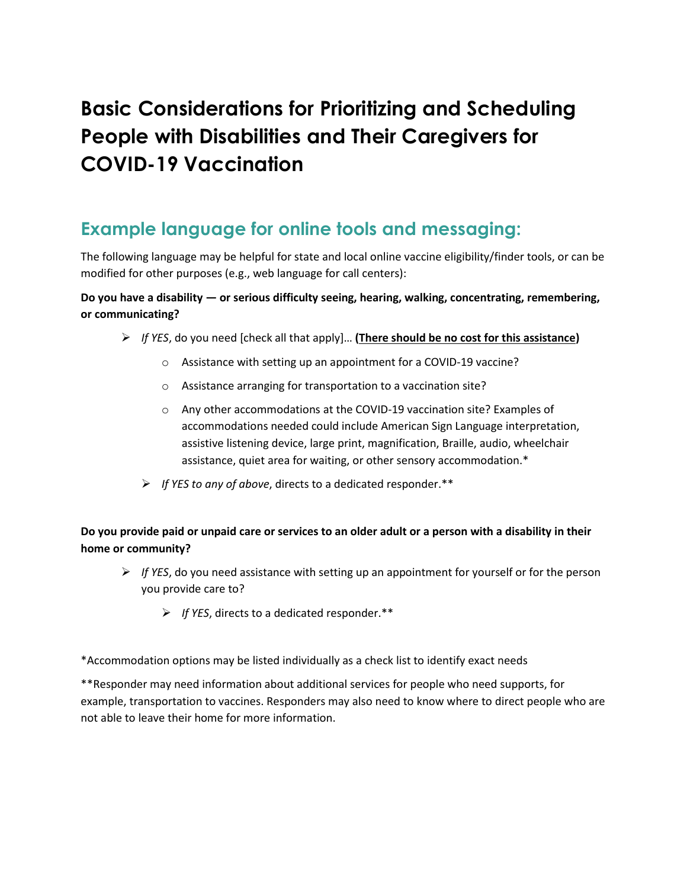# **Basic Considerations for Prioritizing and Scheduling People with Disabilities and Their Caregivers for COVID-19 Vaccination**

## **Example language for online tools and messaging:**

The following language may be helpful for state and local online vaccine eligibility/finder tools, or can be modified for other purposes (e.g., web language for call centers):

#### **Do you have a disability — or serious difficulty seeing, hearing, walking, concentrating, remembering, or communicating?**

- ➢ *If YES*, do you need [check all that apply]… **(There should be no cost for this assistance)**
	- o Assistance with setting up an appointment for a COVID-19 vaccine?
	- o Assistance arranging for transportation to a vaccination site?
	- o Any other accommodations at the COVID-19 vaccination site? Examples of accommodations needed could include American Sign Language interpretation, assistive listening device, large print, magnification, Braille, audio, wheelchair assistance, quiet area for waiting, or other sensory accommodation.\*
	- ➢ *If YES to any of above*, directs to a dedicated responder.\*\*

#### **Do you provide paid or unpaid care or services to an older adult or a person with a disability in their home or community?**

- ➢ *If YES*, do you need assistance with setting up an appointment for yourself or for the person you provide care to?
	- ➢ *If YES*, directs to a dedicated responder.\*\*

\*Accommodation options may be listed individually as a check list to identify exact needs

\*\*Responder may need information about additional services for people who need supports, for example, transportation to vaccines. Responders may also need to know where to direct people who are not able to leave their home for more information.